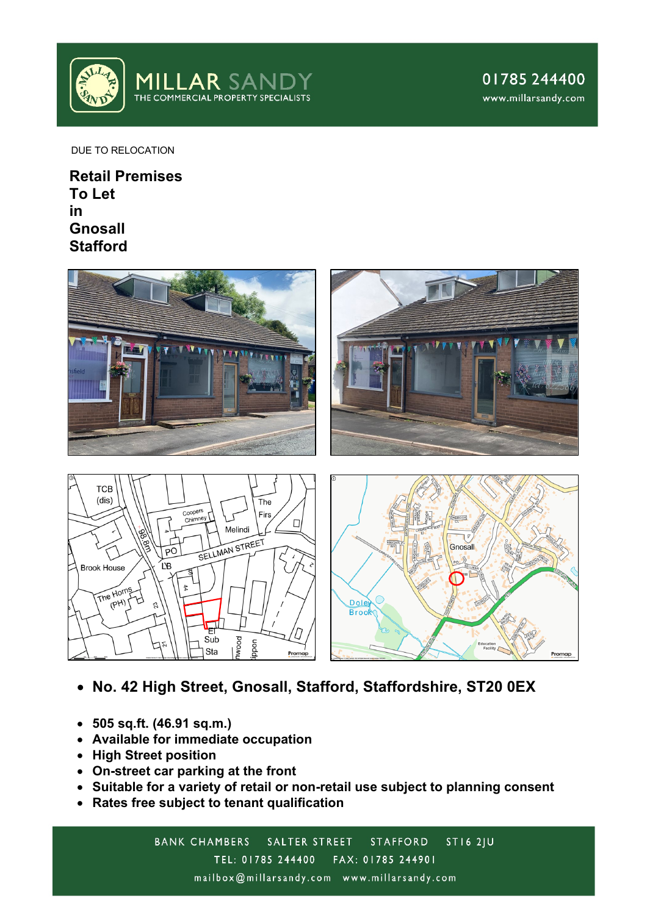

Promap

DUE TO RELOCATION

**Retail Premises To Let in Gnosall Stafford**



• **No. 42 High Street, Gnosall, Stafford, Staffordshire, ST20 0EX**

Promap

- **505 sq.ft. (46.91 sq.m.)**
- **Available for immediate occupation**
- **High Street position**
- **On-street car parking at the front**
- **Suitable for a variety of retail or non-retail use subject to planning consent**
- **Rates free subject to tenant qualification**

nwood

poon

Sub

Sta

BANK CHAMBERS SALTER STREET  $STI62JU$ **STAFFORD** TEL: 01785 244400 FAX: 01785 244901 mailbox@millarsandy.com www.millarsandy.com